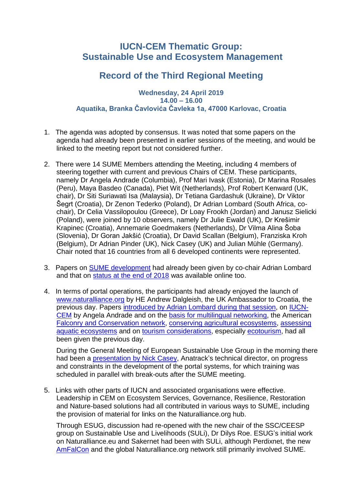## **IUCN-CEM Thematic Group: Sustainable Use and Ecosystem Management**

## **Record of the Third Regional Meeting**

## **Wednesday, 24 April 2019 14.00 – 16.00 Aquatika, Branka Čavlovića Čavleka 1a, 47000 Karlovac, Croatia**

- 1. The agenda was adopted by consensus. It was noted that some papers on the agenda had already been presented in earlier sessions of the meeting, and would be linked to the meeting report but not considered further.
- 2. There were 14 SUME Members attending the Meeting, including 4 members of steering together with current and previous Chairs of CEM. These participants, namely Dr Angela Andrade (Columbia), Prof Mari Ivask (Estonia), Dr Marina Rosales (Peru), Maya Basdeo (Canada), Piet Wit (Netherlands), Prof Robert Kenward (UK, chair), Dr Siti Suriawati Isa (Malaysia), Dr Tetiana Gardashuk (Ukraine), Dr Viktor Šegrt (Croatia), Dr Zenon Tederko (Poland), Dr Adrian Lombard (South Africa, cochair), Dr Celia Vassilopoulou (Greece), Dr Loay Frookh (Jordan) and Janusz Sielicki (Poland), were joined by 10 observers, namely Dr Julie Ewald (UK), Dr Krešimir Krapinec (Croatia), Annemarie Goedmakers (Netherlands), Dr Vilma Alina Šoba (Slovenia), Dr Goran Jakšić (Croatia), Dr David Scallan (Belgium), Franziska Kroh (Belgium), Dr Adrian Pinder (UK), Nick Casey (UK) and Julian Mühle (Germany). Chair noted that 16 countries from all 6 developed continents were represented.
- 3. Papers on [SUME development](http://www.sycl.net/file_link/00064/C-SUME_development_636911028149934000.pdf) had already been given by co-chair Adrian Lombard and that on [status at the](http://www.sycl.net/file_link/00087/1-activity_report_sheet_for_SC_March_2019-SUME_636879005566014000.pdf) end of 2018 was available online too.
- 4. In terms of portal operations, the participants had already enjoyed the launch of [www.naturalliance.org](http://www.naturalliance.org/) by HE Andrew Dalgleish, the UK Ambassador to Croatia, the previous day. Papers [introduced by Adrian Lombard during](http://www.sycl.net/file_link/00087/SUME-20190423-1stSession_636928362400538000.pdf) that session, on [IUCN-](http://www.sycl.net/file_link/00087/CEMSUME2019(Andrade)_636928308745430000.pdf)[CEM](http://www.sycl.net/file_link/00087/CEMSUME2019(Andrade)_636928308745430000.pdf) by Angela Andrade and on the [basis for multilingual networking,](http://www.sycl.net/file_link/00087/1-RK(SUME-Croatia)_20190423_636928304712674000.pdf) the American [Falconry and Conservation](http://www.sycl.net/file_link/00087/2-A_New_Kid_on_the_Block_-_Karlovac_Apr_23_-_Maya___Julian_636928305329186000.pdf) network, [conserving agricultural](http://www.sycl.net/file_link/00087/3-agri_overviewhd_try_636928306512290000.pdf) ecosystems, [assessing](http://www.sycl.net/file_link/00087/4-Pinder_Jacsic_Karlovac_2019_636928307097290000.pdf)  [aquatic ecosystems](http://www.sycl.net/file_link/00087/4-Pinder_Jacsic_Karlovac_2019_636928307097290000.pdf) and on [tourism considerations,](http://www.sycl.net/file_link/00087/5a-Opportunities_to_fund_conservation_networking_636928307666534000.pdf) especially [ecotourism,](http://www.sycl.net/file_link/00087/5b-Ecotourism_SUME_636928308102398000.pdf) had all been given the previous day.

During the General Meeting of European Sustainable Use Group in the morning there had been a [presentation by Nick Casey,](http://www.sycl.net/file_link/00064/Anatrack-NickCasey_636928402796426000.pdf) Anatrack's technical director, on progress and constraints in the development of the portal systems, for which training was scheduled in parallel with break-outs after the SUME meeting.

5. Links with other parts of IUCN and associated organisations were effective. Leadership in CEM on Ecosystem Services, Governance, Resilience, Restoration and Nature-based solutions had all contributed in various ways to SUME, including the provision of material for links on the Naturalliance.org hub.

Through ESUG, discussion had re-opened with the new chair of the SSC/CEESP group on Sustainable Use and Livelihoods (SULi), Dr Dilys Roe. ESUG's initial work on Naturalliance.eu and Sakernet had been with SULi, although Perdixnet, the new [AmFalCon](http://www.amfalcon.org/) and the global Naturalliance.org network still primarily involved SUME.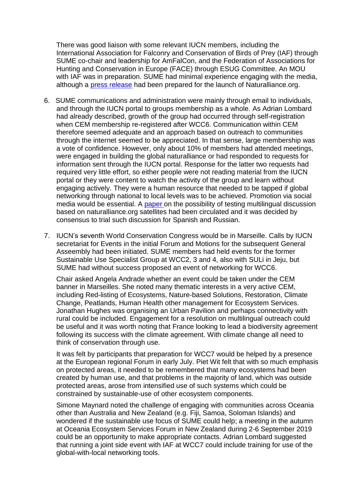There was good liaison with some relevant IUCN members, including the International Association for Falconry and Conservation of Birds of Prey (IAF) through SUME co-chair and leadership for AmFalCon, and the Federation of Associations for Hunting and Conservation in Europe (FACE) through ESUG Committee. An MOU with IAF was in preparation. SUME had minimal experience engaging with the media, although a [press release](http://www.sycl.net/file_link/00087/4-Pressalert(IUCN-CEM)-for-20190423_636911059682058000.pdf) had been prepared for the launch of Naturalliance.org.

- 6. SUME communications and administration were mainly through email to individuals, and through the IUCN portal to groups membership as a whole. As Adrian Lombard had already described, growth of the group had occurred through self-registration when CEM membership re-registered after WCC6. Communication within CEM therefore seemed adequate and an approach based on outreach to communities through the internet seemed to be appreciated. In that sense, large membership was a vote of confidence. However, only about 10% of members had attended meetings, were engaged in building the global naturalliance or had responded to requests for information sent through the IUCN portal. Response for the latter two requests had required very little effort, so either people were not reading material from the IUCN portal or they were content to watch the activity of the group and learn without engaging actively. They were a human resource that needed to be tapped if global networking through national to local levels was to be achieved. Promotion via social media would be essential. A [paper o](http://www.sycl.net/file_link/00087/5-(SUME)discussiongroups_636911060692470000.pdf)n the possibility of testing multilingual discussion based on naturalliance.org satellites had been circulated and it was decided by consensus to trial such discussion for Spanish and Russian.
- 7. IUCN's seventh World Conservation Congress would be in Marseille. Calls by IUCN secretariat for Events in the initial Forum and Motions for the subsequent General Asseembly had been initiated. SUME members had held events for the former Sustainable Use Specialist Group at WCC2, 3 and 4, also with SULi in Jeju, but SUME had without success proposed an event of networking for WCC6.

Chair asked Angela Andrade whether an event could be taken under the CEM banner in Marseilles. She noted many thematic interests in a very active CEM, including Red-listing of Ecosystems, Nature-based Solutions, Restoration, Climate Change, Peatlands, Human Health other management for Ecosystem Services. Jonathan Hughes was organising an Urban Pavilion and perhaps connectivity with rural could be included. Engagement for a resolution on multilingual outreach could be useful and it was worth noting that France looking to lead a biodiversity agreement following its success with the climate agreement. With climate change all need to think of conservation through use.

It was felt by participants that preparation for WCC7 would be helped by a presence at the European regional Forum in early July. Piet Wit felt that with so much emphasis on protected areas, it needed to be remembered that many ecosystems had been created by human use, and that problems in the majority of land, which was outside protected areas, arose from intensified use of such systems which could be constrained by sustainable-use of other ecosystem components.

Simone Maynard noted the challenge of engaging with communities across Oceania other than Australia and New Zealand (e.g. Fiji, Samoa, Soloman Islands) and wondered if the sustainable use focus of SUME could help; a meeting in the autumn at Oceania Ecosystem Services Forum in New Zealand during 2-6 September 2019 could be an opportunity to make appropriate contacts. Adrian Lombard suggested that running a joint side event with IAF at WCC7 could include training for use of the global-with-local networking tools.